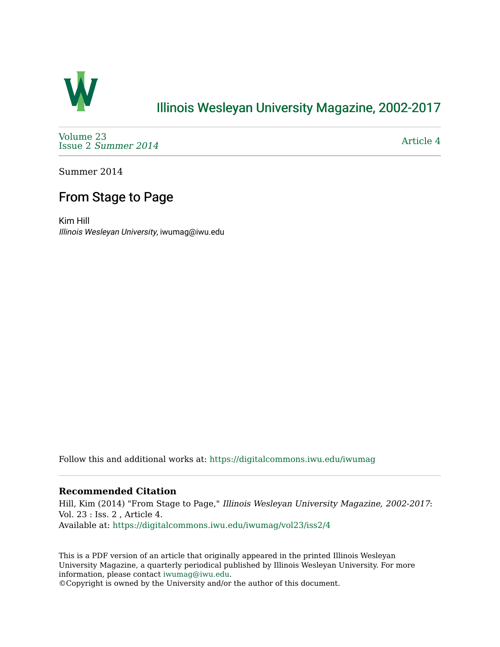

# [Illinois Wesleyan University Magazine, 2002-2017](https://digitalcommons.iwu.edu/iwumag)

[Volume 23](https://digitalcommons.iwu.edu/iwumag/vol23)  Issue 2 [Summer 2014](https://digitalcommons.iwu.edu/iwumag/vol23/iss2) 

[Article 4](https://digitalcommons.iwu.edu/iwumag/vol23/iss2/4) 

Summer 2014

# From Stage to Page

Kim Hill Illinois Wesleyan University, iwumag@iwu.edu

Follow this and additional works at: [https://digitalcommons.iwu.edu/iwumag](https://digitalcommons.iwu.edu/iwumag?utm_source=digitalcommons.iwu.edu%2Fiwumag%2Fvol23%2Fiss2%2F4&utm_medium=PDF&utm_campaign=PDFCoverPages) 

#### **Recommended Citation**

Hill, Kim (2014) "From Stage to Page," Illinois Wesleyan University Magazine, 2002-2017: Vol. 23 : Iss. 2 , Article 4. Available at: [https://digitalcommons.iwu.edu/iwumag/vol23/iss2/4](https://digitalcommons.iwu.edu/iwumag/vol23/iss2/4?utm_source=digitalcommons.iwu.edu%2Fiwumag%2Fvol23%2Fiss2%2F4&utm_medium=PDF&utm_campaign=PDFCoverPages)

This is a PDF version of an article that originally appeared in the printed Illinois Wesleyan University Magazine, a quarterly periodical published by Illinois Wesleyan University. For more information, please contact [iwumag@iwu.edu](mailto:iwumag@iwu.edu).

©Copyright is owned by the University and/or the author of this document.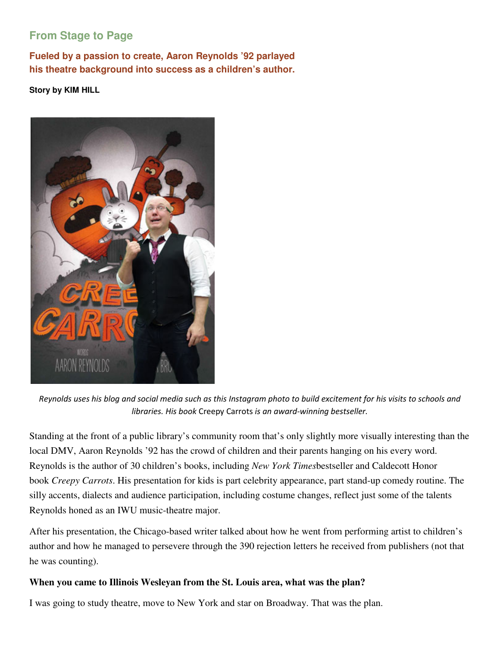# **From Stage to Page**

**Fueled by a passion to create, Aaron Reynolds '92 parlayed his theatre background into success as a children's author.** 

**Story by KIM HILL** 



Reynolds uses his blog and social media such as this Instagram photo to build excitement for his visits to schools and libraries. His book Creepy Carrots is an award-winning bestseller.

Standing at the front of a public library's community room that's only slightly more visually interesting than the local DMV, Aaron Reynolds '92 has the crowd of children and their parents hanging on his every word. Reynolds is the author of 30 children's books, including *New York Times*bestseller and Caldecott Honor book *Creepy Carrots*. His presentation for kids is part celebrity appearance, part stand-up comedy routine. The silly accents, dialects and audience participation, including costume changes, reflect just some of the talents Reynolds honed as an IWU music-theatre major.

After his presentation, the Chicago-based writer talked about how he went from performing artist to children's author and how he managed to persevere through the 390 rejection letters he received from publishers (not that he was counting).

#### **When you came to Illinois Wesleyan from the St. Louis area, what was the plan?**

I was going to study theatre, move to New York and star on Broadway. That was the plan.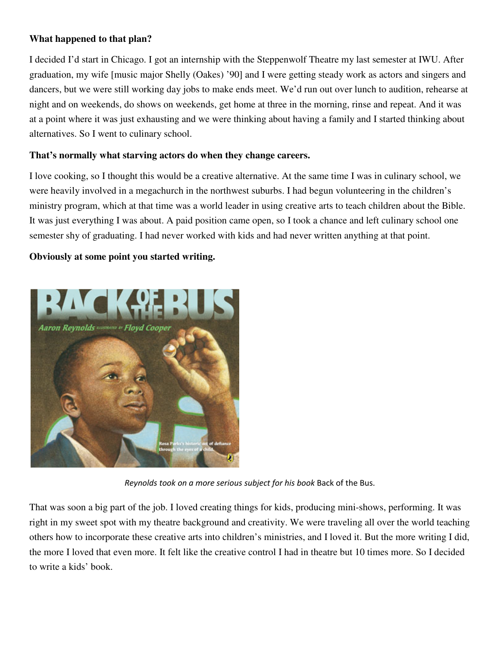#### **What happened to that plan?**

I decided I'd start in Chicago. I got an internship with the Steppenwolf Theatre my last semester at IWU. After graduation, my wife [music major Shelly (Oakes) '90] and I were getting steady work as actors and singers and dancers, but we were still working day jobs to make ends meet. We'd run out over lunch to audition, rehearse at night and on weekends, do shows on weekends, get home at three in the morning, rinse and repeat. And it was at a point where it was just exhausting and we were thinking about having a family and I started thinking about alternatives. So I went to culinary school.

#### **That's normally what starving actors do when they change careers.**

I love cooking, so I thought this would be a creative alternative. At the same time I was in culinary school, we were heavily involved in a megachurch in the northwest suburbs. I had begun volunteering in the children's ministry program, which at that time was a world leader in using creative arts to teach children about the Bible. It was just everything I was about. A paid position came open, so I took a chance and left culinary school one semester shy of graduating. I had never worked with kids and had never written anything at that point.

#### **Obviously at some point you started writing.**



Reynolds took on a more serious subject for his book Back of the Bus.

That was soon a big part of the job. I loved creating things for kids, producing mini-shows, performing. It was right in my sweet spot with my theatre background and creativity. We were traveling all over the world teaching others how to incorporate these creative arts into children's ministries, and I loved it. But the more writing I did, the more I loved that even more. It felt like the creative control I had in theatre but 10 times more. So I decided to write a kids' book.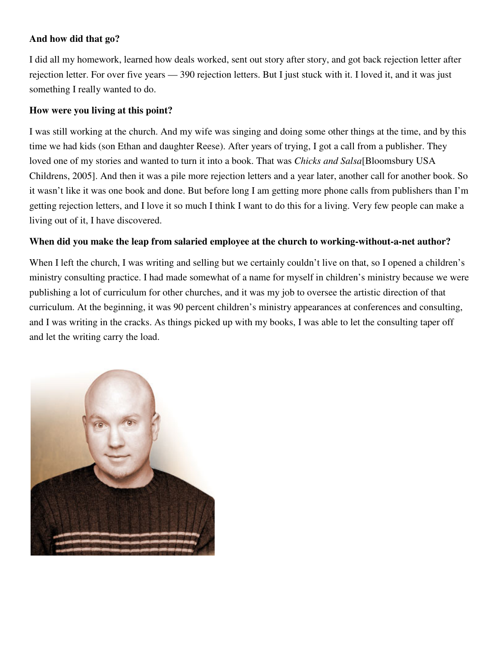#### **And how did that go?**

I did all my homework, learned how deals worked, sent out story after story, and got back rejection letter after rejection letter. For over five years — 390 rejection letters. But I just stuck with it. I loved it, and it was just something I really wanted to do.

#### **How were you living at this point?**

I was still working at the church. And my wife was singing and doing some other things at the time, and by this time we had kids (son Ethan and daughter Reese). After years of trying, I got a call from a publisher. They loved one of my stories and wanted to turn it into a book. That was *Chicks and Salsa*[Bloomsbury USA Childrens, 2005]. And then it was a pile more rejection letters and a year later, another call for another book. So it wasn't like it was one book and done. But before long I am getting more phone calls from publishers than I'm getting rejection letters, and I love it so much I think I want to do this for a living. Very few people can make a living out of it, I have discovered.

#### **When did you make the leap from salaried employee at the church to working-without-a-net author?**

When I left the church, I was writing and selling but we certainly couldn't live on that, so I opened a children's ministry consulting practice. I had made somewhat of a name for myself in children's ministry because we were publishing a lot of curriculum for other churches, and it was my job to oversee the artistic direction of that curriculum. At the beginning, it was 90 percent children's ministry appearances at conferences and consulting, and I was writing in the cracks. As things picked up with my books, I was able to let the consulting taper off and let the writing carry the load.

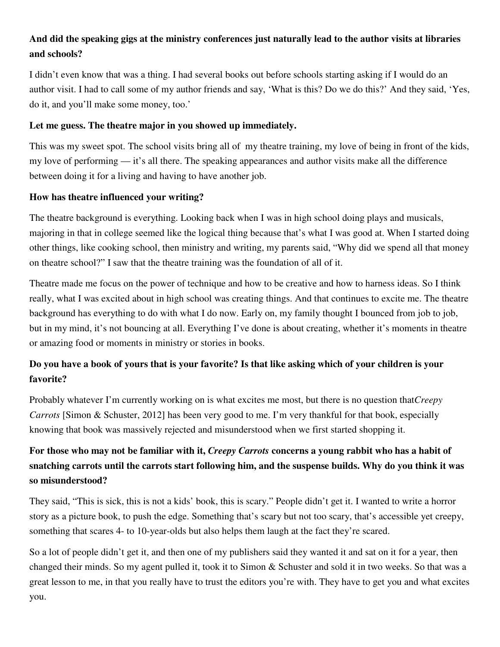### **And did the speaking gigs at the ministry conferences just naturally lead to the author visits at libraries and schools?**

I didn't even know that was a thing. I had several books out before schools starting asking if I would do an author visit. I had to call some of my author friends and say, 'What is this? Do we do this?' And they said, 'Yes, do it, and you'll make some money, too.'

#### **Let me guess. The theatre major in you showed up immediately.**

This was my sweet spot. The school visits bring all of my theatre training, my love of being in front of the kids, my love of performing — it's all there. The speaking appearances and author visits make all the difference between doing it for a living and having to have another job.

### **How has theatre influenced your writing?**

The theatre background is everything. Looking back when I was in high school doing plays and musicals, majoring in that in college seemed like the logical thing because that's what I was good at. When I started doing other things, like cooking school, then ministry and writing, my parents said, "Why did we spend all that money on theatre school?" I saw that the theatre training was the foundation of all of it.

Theatre made me focus on the power of technique and how to be creative and how to harness ideas. So I think really, what I was excited about in high school was creating things. And that continues to excite me. The theatre background has everything to do with what I do now. Early on, my family thought I bounced from job to job, but in my mind, it's not bouncing at all. Everything I've done is about creating, whether it's moments in theatre or amazing food or moments in ministry or stories in books.

## **Do you have a book of yours that is your favorite? Is that like asking which of your children is your favorite?**

Probably whatever I'm currently working on is what excites me most, but there is no question that*Creepy Carrots* [Simon & Schuster, 2012] has been very good to me. I'm very thankful for that book, especially knowing that book was massively rejected and misunderstood when we first started shopping it.

# **For those who may not be familiar with it,** *Creepy Carrots* **concerns a young rabbit who has a habit of snatching carrots until the carrots start following him, and the suspense builds. Why do you think it was so misunderstood?**

They said, "This is sick, this is not a kids' book, this is scary." People didn't get it. I wanted to write a horror story as a picture book, to push the edge. Something that's scary but not too scary, that's accessible yet creepy, something that scares 4- to 10-year-olds but also helps them laugh at the fact they're scared.

So a lot of people didn't get it, and then one of my publishers said they wanted it and sat on it for a year, then changed their minds. So my agent pulled it, took it to Simon & Schuster and sold it in two weeks. So that was a great lesson to me, in that you really have to trust the editors you're with. They have to get you and what excites you.